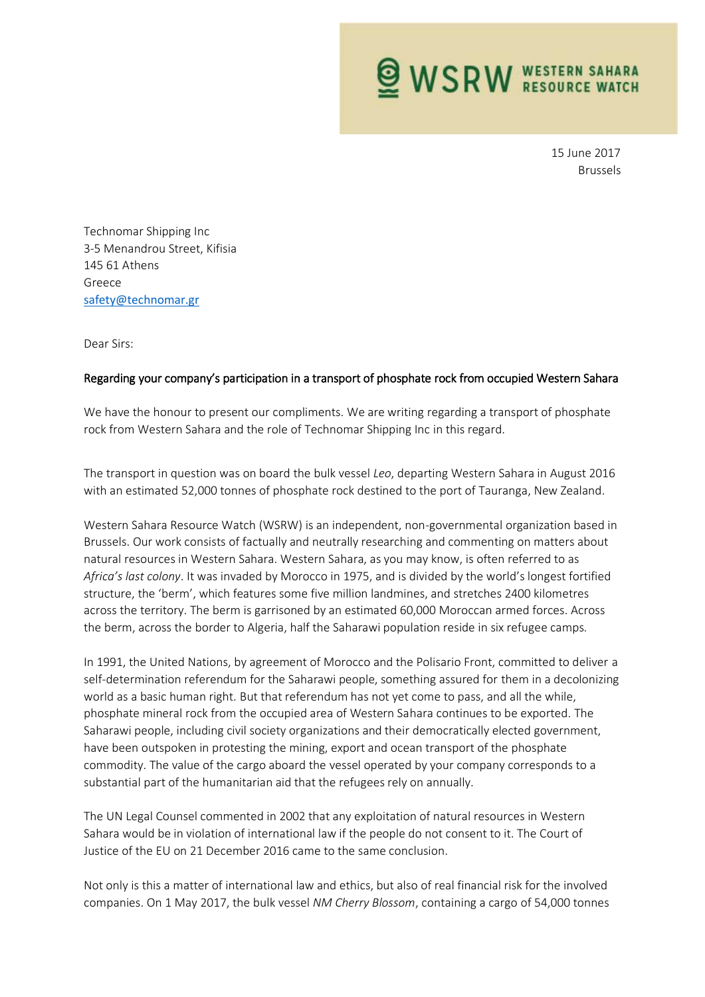**WSRW WESTERN SAHARA** 

15 June 2017 Brussels

Technomar Shipping Inc 3-5 Menandrou Street, Kifisia 145 61 Athens Greece [safety@technomar.gr](mailto:safety@technomar.gr)

Dear Sirs:

## Regarding your company's participation in a transport of phosphate rock from occupied Western Sahara

We have the honour to present our compliments. We are writing regarding a transport of phosphate rock from Western Sahara and the role of Technomar Shipping Inc in this regard.

The transport in question was on board the bulk vessel *Leo*, departing Western Sahara in August 2016 with an estimated 52,000 tonnes of phosphate rock destined to the port of Tauranga, New Zealand.

Western Sahara Resource Watch (WSRW) is an independent, non-governmental organization based in Brussels. Our work consists of factually and neutrally researching and commenting on matters about natural resources in Western Sahara. Western Sahara, as you may know, is often referred to as *Africa's last colony*. It was invaded by Morocco in 1975, and is divided by the world's longest fortified structure, the 'berm', which features some five million landmines, and stretches 2400 kilometres across the territory. The berm is garrisoned by an estimated 60,000 Moroccan armed forces. Across the berm, across the border to Algeria, half the Saharawi population reside in six refugee camps.

In 1991, the United Nations, by agreement of Morocco and the Polisario Front, committed to deliver a self-determination referendum for the Saharawi people, something assured for them in a decolonizing world as a basic human right. But that referendum has not yet come to pass, and all the while, phosphate mineral rock from the occupied area of Western Sahara continues to be exported. The Saharawi people, including civil society organizations and their democratically elected government, have been outspoken in protesting the mining, export and ocean transport of the phosphate commodity. The value of the cargo aboard the vessel operated by your company corresponds to a substantial part of the humanitarian aid that the refugees rely on annually.

The UN Legal Counsel commented in 2002 that any exploitation of natural resources in Western Sahara would be in violation of international law if the people do not consent to it. The Court of Justice of the EU on 21 December 2016 came to the same conclusion.

Not only is this a matter of international law and ethics, but also of real financial risk for the involved companies. On 1 May 2017, the bulk vessel *NM Cherry Blossom*, containing a cargo of 54,000 tonnes